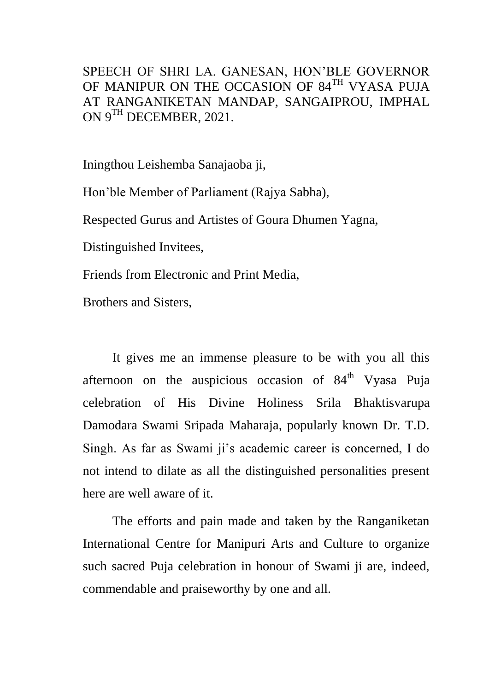SPEECH OF SHRI LA. GANESAN, HON'BLE GOVERNOR OF MANIPUR ON THE OCCASION OF 84<sup>TH</sup> VYASA PUJA AT RANGANIKETAN MANDAP, SANGAIPROU, IMPHAL ON  $9^{TH}$  DECEMBER, 2021.

Iningthou Leishemba Sanajaoba ji,

Hon'ble Member of Parliament (Rajya Sabha),

Respected Gurus and Artistes of Goura Dhumen Yagna,

Distinguished Invitees,

Friends from Electronic and Print Media,

Brothers and Sisters,

 It gives me an immense pleasure to be with you all this afternoon on the auspicious occasion of  $84<sup>th</sup>$  Vyasa Puja celebration of His Divine Holiness Srila Bhaktisvarupa Damodara Swami Sripada Maharaja, popularly known Dr. T.D. Singh. As far as Swami ji's academic career is concerned, I do not intend to dilate as all the distinguished personalities present here are well aware of it.

 The efforts and pain made and taken by the Ranganiketan International Centre for Manipuri Arts and Culture to organize such sacred Puja celebration in honour of Swami ji are, indeed, commendable and praiseworthy by one and all.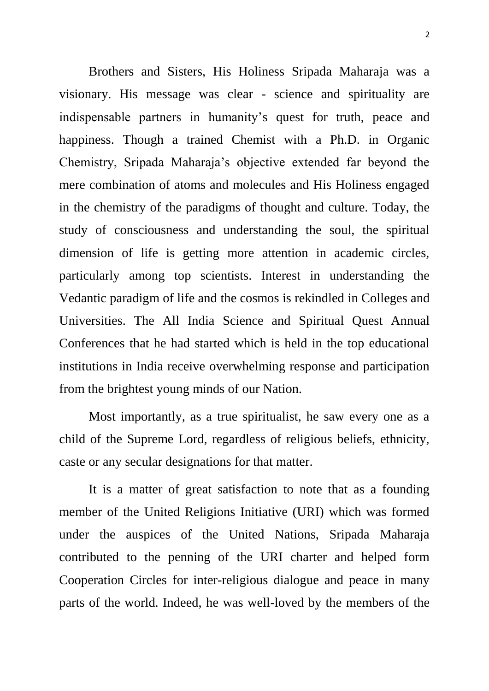Brothers and Sisters, His Holiness Sripada Maharaja was a visionary. His message was clear - science and spirituality are indispensable partners in humanity's quest for truth, peace and happiness. Though a trained Chemist with a Ph.D. in Organic Chemistry, Sripada Maharaja's objective extended far beyond the mere combination of atoms and molecules and His Holiness engaged in the chemistry of the paradigms of thought and culture. Today, the study of consciousness and understanding the soul, the spiritual dimension of life is getting more attention in academic circles, particularly among top scientists. Interest in understanding the Vedantic paradigm of life and the cosmos is rekindled in Colleges and Universities. The All India Science and Spiritual Quest Annual Conferences that he had started which is held in the top educational institutions in India receive overwhelming response and participation from the brightest young minds of our Nation.

 Most importantly, as a true spiritualist, he saw every one as a child of the Supreme Lord, regardless of religious beliefs, ethnicity, caste or any secular designations for that matter.

 It is a matter of great satisfaction to note that as a founding member of the United Religions Initiative (URI) which was formed under the auspices of the United Nations, Sripada Maharaja contributed to the penning of the URI charter and helped form Cooperation Circles for inter-religious dialogue and peace in many parts of the world. Indeed, he was well-loved by the members of the